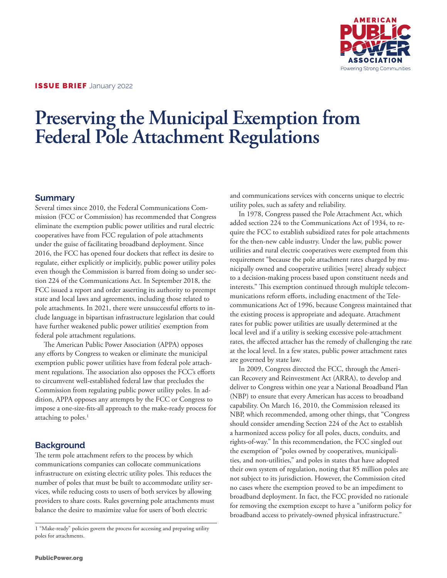

# **Preserving the Municipal Exemption from Federal Pole Attachment Regulations**

### **Summary**

Several times since 2010, the Federal Communications Commission (FCC or Commission) has recommended that Congress eliminate the exemption public power utilities and rural electric cooperatives have from FCC regulation of pole attachments under the guise of facilitating broadband deployment. Since 2016, the FCC has opened four dockets that reflect its desire to regulate, either explicitly or implicitly, public power utility poles even though the Commission is barred from doing so under section 224 of the Communications Act. In September 2018, the FCC issued a report and order asserting its authority to preempt state and local laws and agreements, including those related to pole attachments. In 2021, there were unsuccessful efforts to include language in bipartisan infrastructure legislation that could have further weakened public power utilities' exemption from federal pole attachment regulations.

The American Public Power Association (APPA) opposes any efforts by Congress to weaken or eliminate the municipal exemption public power utilities have from federal pole attachment regulations. The association also opposes the FCC's efforts to circumvent well-established federal law that precludes the Commission from regulating public power utility poles. In addition, APPA opposes any attempts by the FCC or Congress to impose a one-size-fits-all approach to the make-ready process for attaching to poles. $<sup>1</sup>$ </sup>

## **Background**

The term pole attachment refers to the process by which communications companies can collocate communications infrastructure on existing electric utility poles. This reduces the number of poles that must be built to accommodate utility services, while reducing costs to users of both services by allowing providers to share costs. Rules governing pole attachments must balance the desire to maximize value for users of both electric

and communications services with concerns unique to electric utility poles, such as safety and reliability.

In 1978, Congress passed the Pole Attachment Act, which added section 224 to the Communications Act of 1934, to require the FCC to establish subsidized rates for pole attachments for the then-new cable industry. Under the law, public power utilities and rural electric cooperatives were exempted from this requirement "because the pole attachment rates charged by municipally owned and cooperative utilities [were] already subject to a decision-making process based upon constituent needs and interests." This exemption continued through multiple telecommunications reform efforts, including enactment of the Telecommunications Act of 1996, because Congress maintained that the existing process is appropriate and adequate. Attachment rates for public power utilities are usually determined at the local level and if a utility is seeking excessive pole-attachment rates, the affected attacher has the remedy of challenging the rate at the local level. In a few states, public power attachment rates are governed by state law.

In 2009, Congress directed the FCC, through the American Recovery and Reinvestment Act (ARRA), to develop and deliver to Congress within one year a National Broadband Plan (NBP) to ensure that every American has access to broadband capability. On March 16, 2010, the Commission released its NBP, which recommended, among other things, that "Congress should consider amending Section 224 of the Act to establish a harmonized access policy for all poles, ducts, conduits, and rights-of-way." In this recommendation, the FCC singled out the exemption of "poles owned by cooperatives, municipalities, and non-utilities," and poles in states that have adopted their own system of regulation, noting that 85 million poles are not subject to its jurisdiction. However, the Commission cited no cases where the exemption proved to be an impediment to broadband deployment. In fact, the FCC provided no rationale for removing the exemption except to have a "uniform policy for broadband access to privately-owned physical infrastructure."

<sup>1 &</sup>quot;Make-ready" policies govern the process for accessing and preparing utility poles for attachments.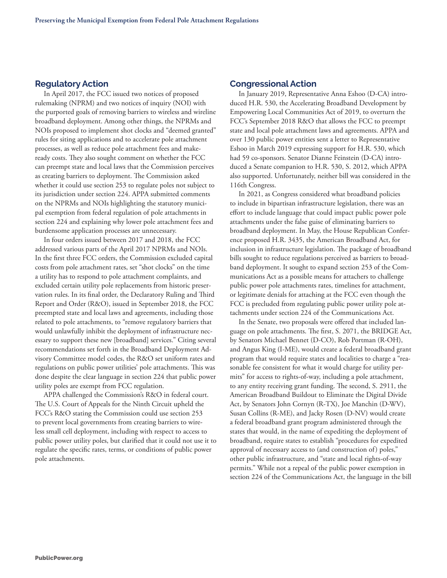#### **Regulatory Action**

In April 2017, the FCC issued two notices of proposed rulemaking (NPRM) and two notices of inquiry (NOI) with the purported goals of removing barriers to wireless and wireline broadband deployment. Among other things, the NPRMs and NOIs proposed to implement shot clocks and "deemed granted" rules for siting applications and to accelerate pole attachment processes, as well as reduce pole attachment fees and makeready costs. They also sought comment on whether the FCC can preempt state and local laws that the Commission perceives as creating barriers to deployment. The Commission asked whether it could use section 253 to regulate poles not subject to its jurisdiction under section 224. APPA submitted comments on the NPRMs and NOIs highlighting the statutory municipal exemption from federal regulation of pole attachments in section 224 and explaining why lower pole attachment fees and burdensome application processes are unnecessary.

In four orders issued between 2017 and 2018, the FCC addressed various parts of the April 2017 NPRMs and NOIs. In the first three FCC orders, the Commission excluded capital costs from pole attachment rates, set "shot clocks" on the time a utility has to respond to pole attachment complaints, and excluded certain utility pole replacements from historic preservation rules. In its final order, the Declaratory Ruling and Third Report and Order (R&O), issued in September 2018, the FCC preempted state and local laws and agreements, including those related to pole attachments, to "remove regulatory barriers that would unlawfully inhibit the deployment of infrastructure necessary to support these new [broadband] services." Citing several recommendations set forth in the Broadband Deployment Advisory Committee model codes, the R&O set uniform rates and regulations on public power utilities' pole attachments. This was done despite the clear language in section 224 that public power utility poles are exempt from FCC regulation.

APPA challenged the Commission's R&O in federal court. The U.S. Court of Appeals for the Ninth Circuit upheld the FCC's R&O stating the Commission could use section 253 to prevent local governments from creating barriers to wireless small cell deployment, including with respect to access to public power utility poles, but clarified that it could not use it to regulate the specific rates, terms, or conditions of public power pole attachments.

#### **Congressional Action**

In January 2019, Representative Anna Eshoo (D-CA) introduced H.R. 530, the Accelerating Broadband Development by Empowering Local Communities Act of 2019, to overturn the FCC's September 2018 R&O that allows the FCC to preempt state and local pole attachment laws and agreements. APPA and over 130 public power entities sent a letter to Representative Eshoo in March 2019 expressing support for H.R. 530, which had 59 co-sponsors. Senator Dianne Feinstein (D-CA) introduced a Senate companion to H.R. 530, S. 2012, which APPA also supported. Unfortunately, neither bill was considered in the 116th Congress.

In 2021, as Congress considered what broadband policies to include in bipartisan infrastructure legislation, there was an effort to include language that could impact public power pole attachments under the false guise of eliminating barriers to broadband deployment. In May, the House Republican Conference proposed H.R. 3435, the American Broadband Act, for inclusion in infrastructure legislation. The package of broadband bills sought to reduce regulations perceived as barriers to broadband deployment. It sought to expand section 253 of the Communications Act as a possible means for attachers to challenge public power pole attachments rates, timelines for attachment, or legitimate denials for attaching at the FCC even though the FCC is precluded from regulating public power utility pole attachments under section 224 of the Communications Act.

In the Senate, two proposals were offered that included language on pole attachments. The first, S. 2071, the BRIDGE Act, by Senators Michael Bennet (D-CO), Rob Portman (R-OH), and Angus King (I-ME), would create a federal broadband grant program that would require states and localities to charge a "reasonable fee consistent for what it would charge for utility permits" for access to rights-of-way, including a pole attachment, to any entity receiving grant funding. The second, S. 2911, the American Broadband Buildout to Eliminate the Digital Divide Act, by Senators John Cornyn (R-TX), Joe Manchin (D-WV), Susan Collins (R-ME), and Jacky Rosen (D-NV) would create a federal broadband grant program administered through the states that would, in the name of expediting the deployment of broadband, require states to establish "procedures for expedited approval of necessary access to (and construction of) poles," other public infrastructure, and "state and local rights-of-way permits." While not a repeal of the public power exemption in section 224 of the Communications Act, the language in the bill